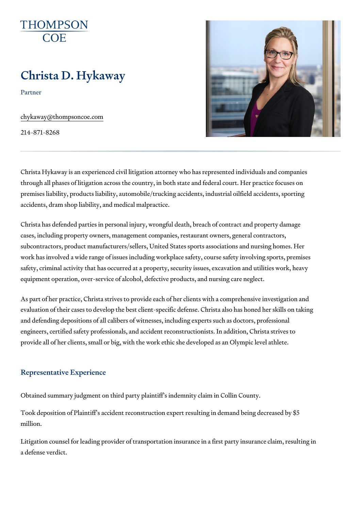# Christa D. Hykaway

Partner

[chykaway@thomps](mailto:chykaway@thompsoncoe.com)oncoe.com

214-871-8268

Christa Hykaway is an experienced civil litigation attorney who has repres through all phases of litigation across the country, in both state and feder premises liability, products liability, automobile/trucking accidents, indust accidents, dram shop liability, and medical malpractice.

Christa has defended parties in personal injury, wrongful death, breach of cases, including property owners, management companies, restaurant owne subcontractors, product manufacturers/sellers, United States sports assoc work has involved a wide range of issues including workplace safety, cours safety, criminal activity that has occurred at a property, security issues, e equipment operation, over-service of alcohol, defective products, and nurs

As part of her practice, Christa strives to provide each of her clients with evaluation of their cases to develop the best client-specific defense. Chris and defending depositions of all calibers of witnesses, including experts s engineers, certified safety professionals, and accident reconstructionists. provide all of her clients, small or big, with the work ethic she developed

#### Representative Experience

Obtained summary judgment on third party plaintiff s indemnity claim in Co

Took deposition of Plaintiff s accident reconstruction expert resulting in d million.

Litigation counsel for leading provider of transportation insurance in a firs a defense verdict.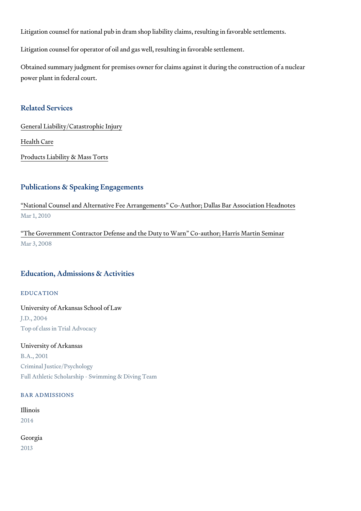Litigation counsel for national pub in dram shop liability claims, resulting Litigation counsel for operator of oil and gas well, resulting in favorable s

Obtained summary judgment for premises owner for claims against it during power plant in federal court.

### Related Services

[General Liability/Catas](https://www.thompsoncoe.com/people/christa-d-hykaway/)trophic Injury

[Health](https://www.thompsoncoe.com/people/christa-d-hykaway/) Care

[Products Liability &](https://www.thompsoncoe.com/people/christa-d-hykaway/) Mass Torts

#### Publications & Speaking Engagements

National Counsel and Alternative Fee Arrangements Co-Author; Dallas Ba Mar 1, 2010

The Government Contractor Defense and the Duty to Warn Co-author; Har Mar 3, 2008

### Education, Admissions & Activities

#### EDUCATION

University of Arkansas School of Law J.D., 2004 Top of class in Trial Advocacy

University of Arkansas B.A., 2001 Criminal Justice/Psychology Full Athletic Scholarship - Swimming & Diving Team

BAR ADMISSIONS

Illinois 2014

Georgia 2013